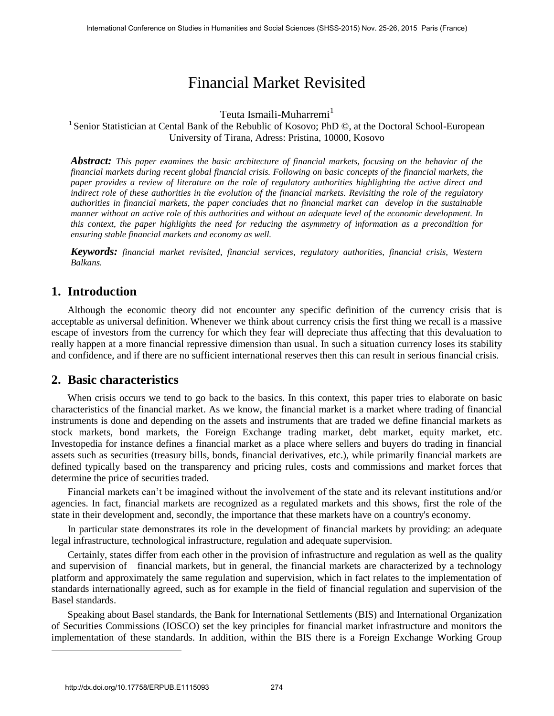# Financial Market Revisited

Teuta Ismaili-Muharremi<sup>1</sup>

<sup>1</sup> Senior Statistician at Cental Bank of the Rebublic of Kosovo; PhD ©, at the Doctoral School-European University of Tirana, Adress: Pristina, 10000, Kosovo

*Abstract: This paper examines the basic architecture of financial markets, focusing on the behavior of the financial markets during recent global financial crisis. Following on basic concepts of the financial markets, the paper provides a review of literature on the role of regulatory authorities highlighting the active direct and indirect role of these authorities in the evolution of the financial markets. Revisiting the role of the regulatory authorities in financial markets, the paper concludes that no financial market can develop in the sustainable manner without an active role of this authorities and without an adequate level of the economic development. In this context, the paper highlights the need for reducing the asymmetry of information as a precondition for ensuring stable financial markets and economy as well.* 

*Keywords: financial market revisited, financial services, regulatory authorities, financial crisis, Western Balkans.* 

# **1. Introduction**

Although the economic theory did not encounter any specific definition of the currency crisis that is acceptable as universal definition. Whenever we think about currency crisis the first thing we recall is a massive escape of investors from the currency for which they fear will depreciate thus affecting that this devaluation to really happen at a more financial repressive dimension than usual. In such a situation currency loses its stability and confidence, and if there are no sufficient international reserves then this can result in serious financial crisis.

# **2. Basic characteristics**

When crisis occurs we tend to go back to the basics. In this context, this paper tries to elaborate on basic characteristics of the financial market. As we know, the financial market is a market where trading of financial instruments is done and depending on the assets and instruments that are traded we define financial markets as stock markets, bond markets, the Foreign Exchange trading market, debt market, equity market, etc. Investopedia for instance defines a financial market as a place where sellers and buyers do trading in financial assets such as securities (treasury bills, bonds, financial derivatives, etc.), while primarily financial markets are defined typically based on the transparency and pricing rules, costs and commissions and market forces that determine the price of securities traded.

Financial markets can't be imagined without the involvement of the state and its relevant institutions and/or agencies. In fact, financial markets are recognized as a regulated markets and this shows, first the role of the state in their development and, secondly, the importance that these markets have on a country's economy.

In particular state demonstrates its role in the development of financial markets by providing: an adequate legal infrastructure, technological infrastructure, regulation and adequate supervision.

Certainly, states differ from each other in the provision of infrastructure and regulation as well as the quality and supervision of financial markets, but in general, the financial markets are characterized by a technology platform and approximately the same regulation and supervision, which in fact relates to the implementation of standards internationally agreed, such as for example in the field of financial regulation and supervision of the Basel standards.

Speaking about Basel standards, the Bank for International Settlements (BIS) and International Organization of Securities Commissions (IOSCO) set the key principles for financial market infrastructure and monitors the implementation of these standards. In addition, within the BIS there is a Foreign Exchange Working Group

l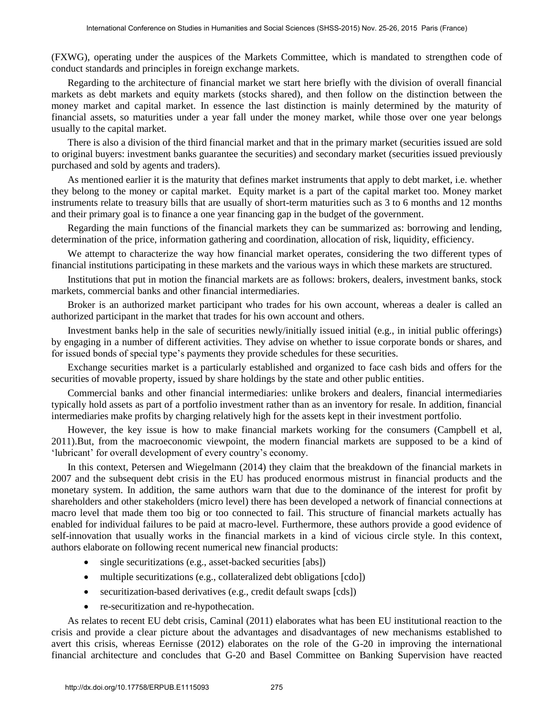(FXWG), operating under the auspices of the Markets Committee, which is mandated to strengthen code of conduct standards and principles in foreign exchange markets.

Regarding to the architecture of financial market we start here briefly with the division of overall financial markets as debt markets and equity markets (stocks shared), and then follow on the distinction between the money market and capital market. In essence the last distinction is mainly determined by the maturity of financial assets, so maturities under a year fall under the money market, while those over one year belongs usually to the capital market.

There is also a division of the third financial market and that in the primary market (securities issued are sold to original buyers: investment banks guarantee the securities) and secondary market (securities issued previously purchased and sold by agents and traders).

As mentioned earlier it is the maturity that defines market instruments that apply to debt market, i.e. whether they belong to the money or capital market. Equity market is a part of the capital market too. Money market instruments relate to treasury bills that are usually of short-term maturities such as 3 to 6 months and 12 months and their primary goal is to finance a one year financing gap in the budget of the government.

Regarding the main functions of the financial markets they can be summarized as: borrowing and lending, determination of the price, information gathering and coordination, allocation of risk, liquidity, efficiency.

We attempt to characterize the way how financial market operates, considering the two different types of financial institutions participating in these markets and the various ways in which these markets are structured.

Institutions that put in motion the financial markets are as follows: brokers, dealers, investment banks, stock markets, commercial banks and other financial intermediaries.

Broker is an authorized market participant who trades for his own account, whereas a dealer is called an authorized participant in the market that trades for his own account and others.

Investment banks help in the sale of securities newly/initially issued initial (e.g., in initial public offerings) by engaging in a number of different activities. They advise on whether to issue corporate bonds or shares, and for issued bonds of special type's payments they provide schedules for these securities.

Exchange securities market is a particularly established and organized to face cash bids and offers for the securities of movable property, issued by share holdings by the state and other public entities.

Commercial banks and other financial intermediaries: unlike brokers and dealers, financial intermediaries typically hold assets as part of a portfolio investment rather than as an inventory for resale. In addition, financial intermediaries make profits by charging relatively high for the assets kept in their investment portfolio.

However, the key issue is how to make financial markets working for the consumers (Campbell et al, 2011).But, from the macroeconomic viewpoint, the modern financial markets are supposed to be a kind of 'lubricant' for overall development of every country's economy.

In this context, Petersen and Wiegelmann (2014) they claim that the breakdown of the financial markets in 2007 and the subsequent debt crisis in the EU has produced enormous mistrust in financial products and the monetary system. In addition, the same authors warn that due to the dominance of the interest for profit by shareholders and other stakeholders (micro level) there has been developed a network of financial connections at macro level that made them too big or too connected to fail. This structure of financial markets actually has enabled for individual failures to be paid at macro-level. Furthermore, these authors provide a good evidence of self-innovation that usually works in the financial markets in a kind of vicious circle style. In this context, authors elaborate on following recent numerical new financial products:

- single securitizations (e.g., asset-backed securities [abs])
- multiple securitizations (e.g., collateralized debt obligations [cdo])
- securitization-based derivatives (e.g., credit default swaps [cds])
- re-securitization and re-hypothecation.

As relates to recent EU debt crisis, Caminal (2011) elaborates what has been EU institutional reaction to the crisis and provide a clear picture about the advantages and disadvantages of new mechanisms established to avert this crisis, whereas Eernisse (2012) elaborates on the role of the G-20 in improving the international financial architecture and concludes that G-20 and Basel Committee on Banking Supervision have reacted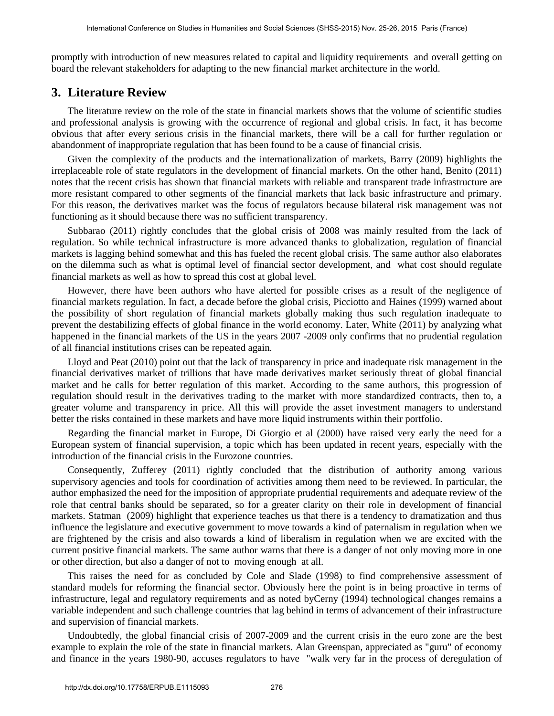promptly with introduction of new measures related to capital and liquidity requirements and overall getting on board the relevant stakeholders for adapting to the new financial market architecture in the world.

## **3. Literature Review**

The literature review on the role of the state in financial markets shows that the volume of scientific studies and professional analysis is growing with the occurrence of regional and global crisis. In fact, it has become obvious that after every serious crisis in the financial markets, there will be a call for further regulation or abandonment of inappropriate regulation that has been found to be a cause of financial crisis.

Given the complexity of the products and the internationalization of markets, Barry (2009) highlights the irreplaceable role of state regulators in the development of financial markets. On the other hand, Benito (2011) notes that the recent crisis has shown that financial markets with reliable and transparent trade infrastructure are more resistant compared to other segments of the financial markets that lack basic infrastructure and primary. For this reason, the derivatives market was the focus of regulators because bilateral risk management was not functioning as it should because there was no sufficient transparency.

Subbarao (2011) rightly concludes that the global crisis of 2008 was mainly resulted from the lack of regulation. So while technical infrastructure is more advanced thanks to globalization, regulation of financial markets is lagging behind somewhat and this has fueled the recent global crisis. The same author also elaborates on the dilemma such as what is optimal level of financial sector development, and what cost should regulate financial markets as well as how to spread this cost at global level.

However, there have been authors who have alerted for possible crises as a result of the negligence of financial markets regulation. In fact, a decade before the global crisis, Picciotto and Haines (1999) warned about the possibility of short regulation of financial markets globally making thus such regulation inadequate to prevent the destabilizing effects of global finance in the world economy. Later, White (2011) by analyzing what happened in the financial markets of the US in the years 2007 -2009 only confirms that no prudential regulation of all financial institutions crises can be repeated again.

Lloyd and Peat (2010) point out that the lack of transparency in price and inadequate risk management in the financial derivatives market of trillions that have made derivatives market seriously threat of global financial market and he calls for better regulation of this market. According to the same authors, this progression of regulation should result in the derivatives trading to the market with more standardized contracts, then to, a greater volume and transparency in price. All this will provide the asset investment managers to understand better the risks contained in these markets and have more liquid instruments within their portfolio.

Regarding the financial market in Europe, Di Giorgio et al (2000) have raised very early the need for a European system of financial supervision, a topic which has been updated in recent years, especially with the introduction of the financial crisis in the Eurozone countries.

Consequently, Zufferey (2011) rightly concluded that the distribution of authority among various supervisory agencies and tools for coordination of activities among them need to be reviewed. In particular, the author emphasized the need for the imposition of appropriate prudential requirements and adequate review of the role that central banks should be separated, so for a greater clarity on their role in development of financial markets. Statman (2009) highlight that experience teaches us that there is a tendency to dramatization and thus influence the legislature and executive government to move towards a kind of paternalism in regulation when we are frightened by the crisis and also towards a kind of liberalism in regulation when we are excited with the current positive financial markets. The same author warns that there is a danger of not only moving more in one or other direction, but also a danger of not to moving enough at all.

This raises the need for as concluded by Cole and Slade (1998) to find comprehensive assessment of standard models for reforming the financial sector. Obviously here the point is in being proactive in terms of infrastructure, legal and regulatory requirements and as noted byCerny (1994) technological changes remains a variable independent and such challenge countries that lag behind in terms of advancement of their infrastructure and supervision of financial markets.

Undoubtedly, the global financial crisis of 2007-2009 and the current crisis in the euro zone are the best example to explain the role of the state in financial markets. Alan Greenspan, appreciated as "guru" of economy and finance in the years 1980-90, accuses regulators to have "walk very far in the process of deregulation of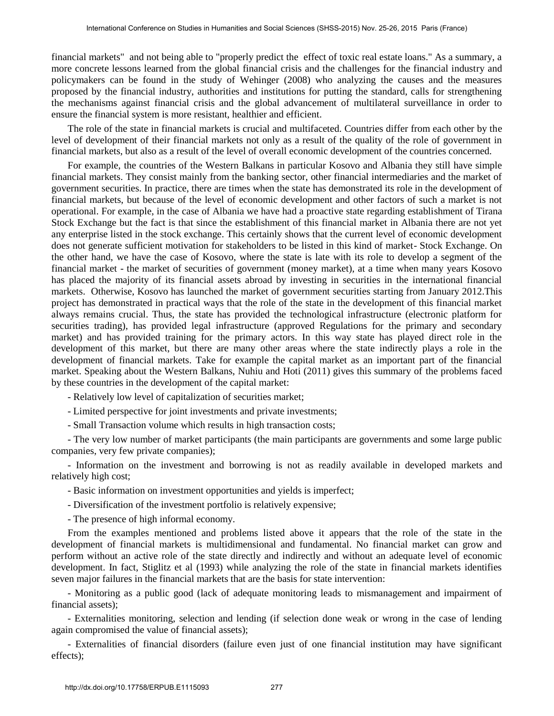financial markets" and not being able to "properly predict the effect of toxic real estate loans." As a summary, a more concrete lessons learned from the global financial crisis and the challenges for the financial industry and policymakers can be found in the study of Wehinger (2008) who analyzing the causes and the measures proposed by the financial industry, authorities and institutions for putting the standard, calls for strengthening the mechanisms against financial crisis and the global advancement of multilateral surveillance in order to ensure the financial system is more resistant, healthier and efficient.

The role of the state in financial markets is crucial and multifaceted. Countries differ from each other by the level of development of their financial markets not only as a result of the quality of the role of government in financial markets, but also as a result of the level of overall economic development of the countries concerned.

For example, the countries of the Western Balkans in particular Kosovo and Albania they still have simple financial markets. They consist mainly from the banking sector, other financial intermediaries and the market of government securities. In practice, there are times when the state has demonstrated its role in the development of financial markets, but because of the level of economic development and other factors of such a market is not operational. For example, in the case of Albania we have had a proactive state regarding establishment of Tirana Stock Exchange but the fact is that since the establishment of this financial market in Albania there are not yet any enterprise listed in the stock exchange. This certainly shows that the current level of economic development does not generate sufficient motivation for stakeholders to be listed in this kind of market- Stock Exchange. On the other hand, we have the case of Kosovo, where the state is late with its role to develop a segment of the financial market - the market of securities of government (money market), at a time when many years Kosovo has placed the majority of its financial assets abroad by investing in securities in the international financial markets. Otherwise, Kosovo has launched the market of government securities starting from January 2012.This project has demonstrated in practical ways that the role of the state in the development of this financial market always remains crucial. Thus, the state has provided the technological infrastructure (electronic platform for securities trading), has provided legal infrastructure (approved Regulations for the primary and secondary market) and has provided training for the primary actors. In this way state has played direct role in the development of this market, but there are many other areas where the state indirectly plays a role in the development of financial markets. Take for example the capital market as an important part of the financial market. Speaking about the Western Balkans, Nuhiu and Hoti (2011) gives this summary of the problems faced by these countries in the development of the capital market:

- Relatively low level of capitalization of securities market;

- Limited perspective for joint investments and private investments;

- Small Transaction volume which results in high transaction costs;

- The very low number of market participants (the main participants are governments and some large public companies, very few private companies);

- Information on the investment and borrowing is not as readily available in developed markets and relatively high cost;

- Basic information on investment opportunities and yields is imperfect;

- Diversification of the investment portfolio is relatively expensive;

- The presence of high informal economy.

From the examples mentioned and problems listed above it appears that the role of the state in the development of financial markets is multidimensional and fundamental. No financial market can grow and perform without an active role of the state directly and indirectly and without an adequate level of economic development. In fact, Stiglitz et al (1993) while analyzing the role of the state in financial markets identifies seven major failures in the financial markets that are the basis for state intervention:

- Monitoring as a public good (lack of adequate monitoring leads to mismanagement and impairment of financial assets);

- Externalities monitoring, selection and lending (if selection done weak or wrong in the case of lending again compromised the value of financial assets);

- Externalities of financial disorders (failure even just of one financial institution may have significant effects);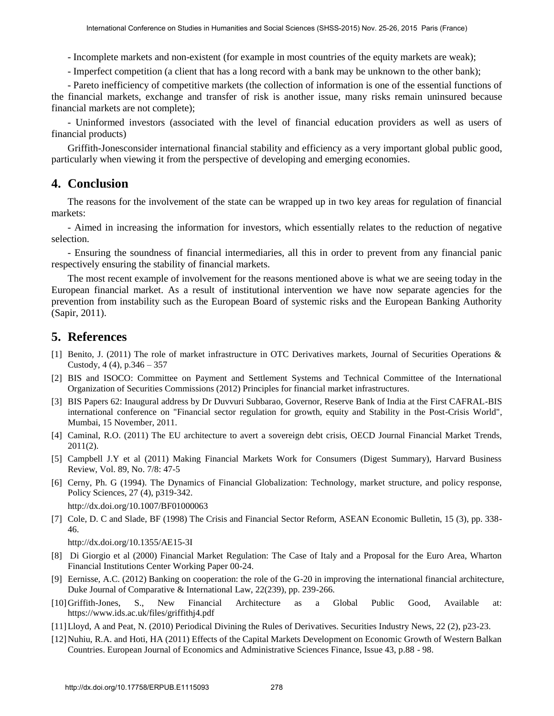- Incomplete markets and non-existent (for example in most countries of the equity markets are weak);
- Imperfect competition (a client that has a long record with a bank may be unknown to the other bank);

- Pareto inefficiency of competitive markets (the collection of information is one of the essential functions of the financial markets, exchange and transfer of risk is another issue, many risks remain uninsured because financial markets are not complete);

- Uninformed investors (associated with the level of financial education providers as well as users of financial products)

Griffith-Jonesconsider international financial stability and efficiency as a very important global public good, particularly when viewing it from the perspective of developing and emerging economies.

#### **4. Conclusion**

The reasons for the involvement of the state can be wrapped up in two key areas for regulation of financial markets:

- Aimed in increasing the information for investors, which essentially relates to the reduction of negative selection.

- Ensuring the soundness of financial intermediaries, all this in order to prevent from any financial panic respectively ensuring the stability of financial markets.

The most recent example of involvement for the reasons mentioned above is what we are seeing today in the European financial market. As a result of institutional intervention we have now separate agencies for the prevention from instability such as the European Board of systemic risks and the European Banking Authority (Sapir, 2011).

### **5. References**

- [1] Benito, J. (2011) The role of market infrastructure in OTC Derivatives markets, Journal of Securities Operations & Custody,  $4(4)$ ,  $p.346 - 357$
- [2] BIS and ISOCO: Committee on Payment and Settlement Systems and Technical Committee of the International Organization of Securities Commissions (2012) Principles for financial market infrastructures.
- [3] BIS Papers 62: Inaugural address by Dr Duvvuri Subbarao, Governor, Reserve Bank of India at the First CAFRAL-BIS international conference on "Financial sector regulation for growth, equity and Stability in the Post-Crisis World", Mumbai, 15 November, 2011.
- [4] Caminal, R.O. (2011) The EU architecture to avert a sovereign debt crisis, OECD Journal Financial Market Trends, 2011(2).
- [5] Campbell J.Y et al (2011) Making Financial Markets Work for Consumers (Digest Summary), Harvard Business Review, Vol. 89, No. 7/8: 47-5
- [6] Cerny, Ph. G (1994). The Dynamics of Financial Globalization: Technology, market structure, and policy response, [Policy Sciences, 27 \(4\), p319-342.](http://dx.doi.org/10.1007/BF01000063)

<http://dx.doi.org/10.1007/BF01000063>

[7] [Cole, D. C and Slade, BF \(1998\) The Crisis and Financial Sector Reform, ASEAN Economic Bulletin, 15 \(3\), pp. 338-](http://dx.doi.org/10.1355/AE15-3I) [46.](http://dx.doi.org/10.1355/AE15-3I)

<http://dx.doi.org/10.1355/AE15-3I>

- [8] Di Giorgio et al (2000) Financial Market Regulation: The Case of Italy and a Proposal for the Euro Area, Wharton Financial Institutions Center Working Paper 00-24.
- [9] Eernisse, A.C. (2012) Banking on cooperation: the role of the G-20 in improving the international financial architecture, Duke Journal of Comparative & International Law, 22(239), pp. 239-266.
- [10]Griffith-Jones, S., New Financial Architecture as a Global Public Good, Available at: https://www.ids.ac.uk/files/griffithj4.pdf
- [11]Lloyd, A and Peat, N. (2010) Periodical Divining the Rules of Derivatives. Securities Industry News, 22 (2), p23-23.
- [12] Nuhiu, R.A. and Hoti, HA (2011) Effects of the Capital Markets Development on Economic Growth of Western Balkan Countries. European Journal of Economics and Administrative Sciences Finance, Issue 43, p.88 - 98.